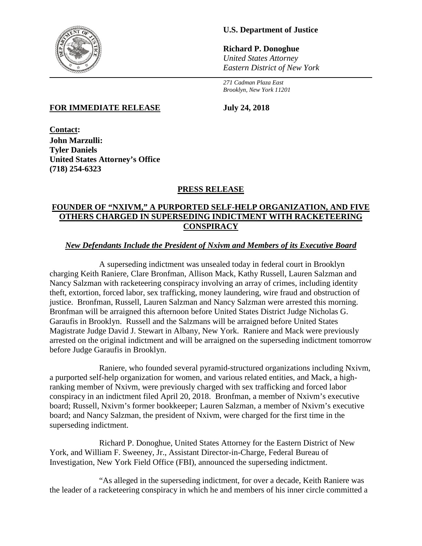

# **U.S. Department of Justice**

**Richard P. Donoghue** *United States Attorney Eastern District of New York*

*271 Cadman Plaza East Brooklyn, New York 11201*

#### **FOR IMMEDIATE RELEASE July 24, 2018**

**Contact: John Marzulli: Tyler Daniels United States Attorney's Office (718) 254-6323**

# **PRESS RELEASE**

# **FOUNDER OF "NXIVM," A PURPORTED SELF-HELP ORGANIZATION, AND FIVE OTHERS CHARGED IN SUPERSEDING INDICTMENT WITH RACKETEERING CONSPIRACY**

# *New Defendants Include the President of Nxivm and Members of its Executive Board*

A superseding indictment was unsealed today in federal court in Brooklyn charging Keith Raniere, Clare Bronfman, Allison Mack, Kathy Russell, Lauren Salzman and Nancy Salzman with racketeering conspiracy involving an array of crimes, including identity theft, extortion, forced labor, sex trafficking, money laundering, wire fraud and obstruction of justice. Bronfman, Russell, Lauren Salzman and Nancy Salzman were arrested this morning. Bronfman will be arraigned this afternoon before United States District Judge Nicholas G. Garaufis in Brooklyn. Russell and the Salzmans will be arraigned before United States Magistrate Judge David J. Stewart in Albany, New York. Raniere and Mack were previously arrested on the original indictment and will be arraigned on the superseding indictment tomorrow before Judge Garaufis in Brooklyn.

Raniere, who founded several pyramid-structured organizations including Nxivm, a purported self-help organization for women, and various related entities, and Mack, a highranking member of Nxivm, were previously charged with sex trafficking and forced labor conspiracy in an indictment filed April 20, 2018. Bronfman, a member of Nxivm's executive board; Russell, Nxivm's former bookkeeper; Lauren Salzman, a member of Nxivm's executive board; and Nancy Salzman, the president of Nxivm, were charged for the first time in the superseding indictment.

Richard P. Donoghue, United States Attorney for the Eastern District of New York, and William F. Sweeney, Jr., Assistant Director-in-Charge, Federal Bureau of Investigation, New York Field Office (FBI), announced the superseding indictment.

"As alleged in the superseding indictment, for over a decade, Keith Raniere was the leader of a racketeering conspiracy in which he and members of his inner circle committed a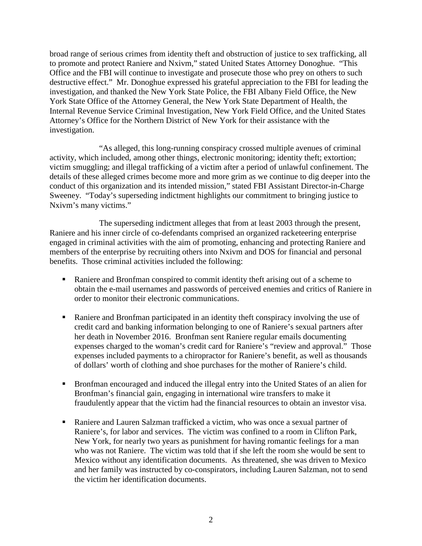broad range of serious crimes from identity theft and obstruction of justice to sex trafficking, all to promote and protect Raniere and Nxivm," stated United States Attorney Donoghue. "This Office and the FBI will continue to investigate and prosecute those who prey on others to such destructive effect." Mr. Donoghue expressed his grateful appreciation to the FBI for leading the investigation, and thanked the New York State Police, the FBI Albany Field Office, the New York State Office of the Attorney General, the New York State Department of Health, the Internal Revenue Service Criminal Investigation, New York Field Office, and the United States Attorney's Office for the Northern District of New York for their assistance with the investigation.

"As alleged, this long-running conspiracy crossed multiple avenues of criminal activity, which included, among other things, electronic monitoring; identity theft; extortion; victim smuggling; and illegal trafficking of a victim after a period of unlawful confinement. The details of these alleged crimes become more and more grim as we continue to dig deeper into the conduct of this organization and its intended mission," stated FBI Assistant Director-in-Charge Sweeney. "Today's superseding indictment highlights our commitment to bringing justice to Nxivm's many victims."

The superseding indictment alleges that from at least 2003 through the present, Raniere and his inner circle of co-defendants comprised an organized racketeering enterprise engaged in criminal activities with the aim of promoting, enhancing and protecting Raniere and members of the enterprise by recruiting others into Nxivm and DOS for financial and personal benefits. Those criminal activities included the following:

- Raniere and Bronfman conspired to commit identity theft arising out of a scheme to obtain the e-mail usernames and passwords of perceived enemies and critics of Raniere in order to monitor their electronic communications.
- Raniere and Bronfman participated in an identity theft conspiracy involving the use of credit card and banking information belonging to one of Raniere's sexual partners after her death in November 2016. Bronfman sent Raniere regular emails documenting expenses charged to the woman's credit card for Raniere's "review and approval." Those expenses included payments to a chiropractor for Raniere's benefit, as well as thousands of dollars' worth of clothing and shoe purchases for the mother of Raniere's child.
- Bronfman encouraged and induced the illegal entry into the United States of an alien for Bronfman's financial gain, engaging in international wire transfers to make it fraudulently appear that the victim had the financial resources to obtain an investor visa.
- Raniere and Lauren Salzman trafficked a victim, who was once a sexual partner of Raniere's, for labor and services. The victim was confined to a room in Clifton Park, New York, for nearly two years as punishment for having romantic feelings for a man who was not Raniere. The victim was told that if she left the room she would be sent to Mexico without any identification documents. As threatened, she was driven to Mexico and her family was instructed by co-conspirators, including Lauren Salzman, not to send the victim her identification documents.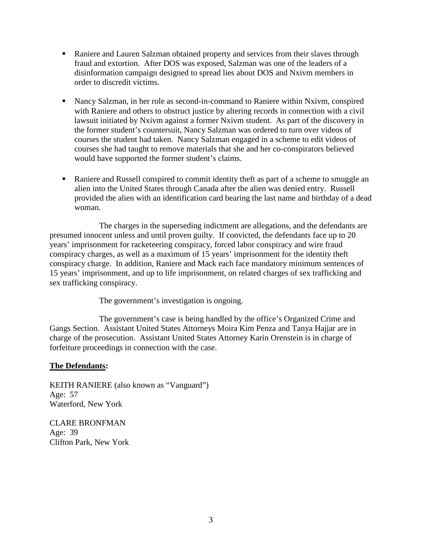- Raniere and Lauren Salzman obtained property and services from their slaves through fraud and extortion. After DOS was exposed, Salzman was one of the leaders of a disinformation campaign designed to spread lies about DOS and Nxivm members in order to discredit victims.
- Nancy Salzman, in her role as second-in-command to Raniere within Nxivm, conspired with Raniere and others to obstruct justice by altering records in connection with a civil lawsuit initiated by Nxivm against a former Nxivm student. As part of the discovery in the former student's countersuit, Nancy Salzman was ordered to turn over videos of courses the student had taken. Nancy Salzman engaged in a scheme to edit videos of courses she had taught to remove materials that she and her co-conspirators believed would have supported the former student's claims.
- Raniere and Russell conspired to commit identity theft as part of a scheme to smuggle an alien into the United States through Canada after the alien was denied entry. Russell provided the alien with an identification card bearing the last name and birthday of a dead woman.

The charges in the superseding indictment are allegations, and the defendants are presumed innocent unless and until proven guilty. If convicted, the defendants face up to 20 years' imprisonment for racketeering conspiracy, forced labor conspiracy and wire fraud conspiracy charges, as well as a maximum of 15 years' imprisonment for the identity theft conspiracy charge. In addition, Raniere and Mack each face mandatory minimum sentences of 15 years' imprisonment, and up to life imprisonment, on related charges of sex trafficking and sex trafficking conspiracy.

The government's investigation is ongoing.

The government's case is being handled by the office's Organized Crime and Gangs Section. Assistant United States Attorneys Moira Kim Penza and Tanya Hajjar are in charge of the prosecution. Assistant United States Attorney Karin Orenstein is in charge of forfeiture proceedings in connection with the case.

# **The Defendants:**

KEITH RANIERE (also known as "Vanguard") Age: 57 Waterford, New York

CLARE BRONFMAN Age: 39 Clifton Park, New York